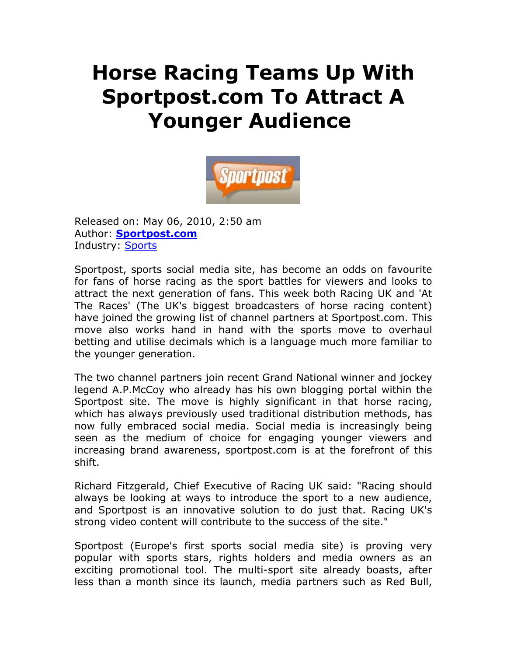## **Horse Racing Teams Up With Sportpost.com To Attract A Younger Audience**



Released on: May 06, 2010, 2:50 am Author: **Sportpost.com** Industry: **Sports** 

Sportpost, sports social media site, has become an odds on favourite for fans of horse racing as the sport battles for viewers and looks to attract the next generation of fans. This week both Racing UK and 'At The Races' (The UK's biggest broadcasters of horse racing content) have joined the growing list of channel partners at Sportpost.com. This move also works hand in hand with the sports move to overhaul betting and utilise decimals which is a language much more familiar to the younger generation.

The two channel partners join recent Grand National winner and jockey legend A.P.McCoy who already has his own blogging portal within the Sportpost site. The move is highly significant in that horse racing, which has always previously used traditional distribution methods, has now fully embraced social media. Social media is increasingly being seen as the medium of choice for engaging younger viewers and increasing brand awareness, sportpost.com is at the forefront of this shift.

Richard Fitzgerald, Chief Executive of Racing UK said: "Racing should always be looking at ways to introduce the sport to a new audience, and Sportpost is an innovative solution to do just that. Racing UK's strong video content will contribute to the success of the site."

Sportpost (Europe's first sports social media site) is proving very popular with sports stars, rights holders and media owners as an exciting promotional tool. The multi-sport site already boasts, after less than a month since its launch, media partners such as Red Bull,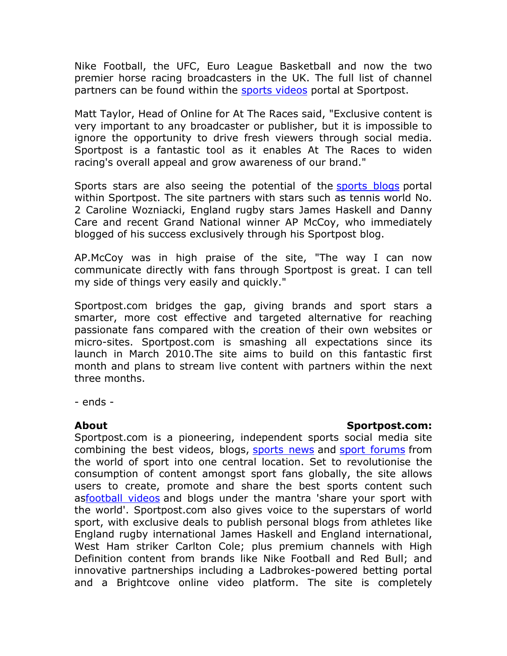Nike Football, the UFC, Euro League Basketball and now the two premier horse racing broadcasters in the UK. The full list of channel partners can be found within the **sports videos** portal at Sportpost.

Matt Taylor, Head of Online for At The Races said, "Exclusive content is very important to any broadcaster or publisher, but it is impossible to ignore the opportunity to drive fresh viewers through social media. Sportpost is a fantastic tool as it enables At The Races to widen racing's overall appeal and grow awareness of our brand."

Sports stars are also seeing the potential of the sports blogs portal within Sportpost. The site partners with stars such as tennis world No. 2 Caroline Wozniacki, England rugby stars James Haskell and Danny Care and recent Grand National winner AP McCoy, who immediately blogged of his success exclusively through his Sportpost blog.

AP.McCoy was in high praise of the site, "The way I can now communicate directly with fans through Sportpost is great. I can tell my side of things very easily and quickly."

Sportpost.com bridges the gap, giving brands and sport stars a smarter, more cost effective and targeted alternative for reaching passionate fans compared with the creation of their own websites or micro-sites. Sportpost.com is smashing all expectations since its launch in March 2010.The site aims to build on this fantastic first month and plans to stream live content with partners within the next three months.

- ends -

## **About Sportpost.com:**

Sportpost.com is a pioneering, independent sports social media site combining the best videos, blogs, sports news and sport forums from the world of sport into one central location. Set to revolutionise the consumption of content amongst sport fans globally, the site allows users to create, promote and share the best sports content such asfootball videos and blogs under the mantra 'share your sport with the world'. Sportpost.com also gives voice to the superstars of world sport, with exclusive deals to publish personal blogs from athletes like England rugby international James Haskell and England international, West Ham striker Carlton Cole; plus premium channels with High Definition content from brands like Nike Football and Red Bull; and innovative partnerships including a Ladbrokes-powered betting portal and a Brightcove online video platform. The site is completely